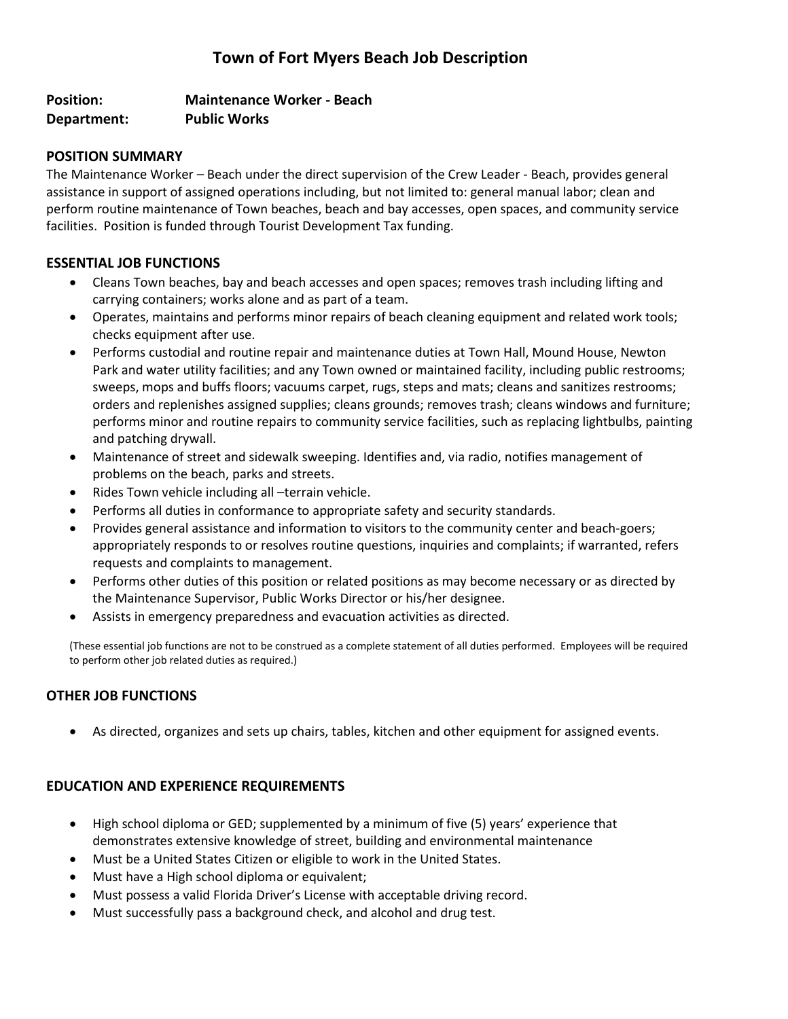# **Town of Fort Myers Beach Job Description**

## **Position: Maintenance Worker - Beach Department: Public Works**

#### **POSITION SUMMARY**

The Maintenance Worker – Beach under the direct supervision of the Crew Leader - Beach, provides general assistance in support of assigned operations including, but not limited to: general manual labor; clean and perform routine maintenance of Town beaches, beach and bay accesses, open spaces, and community service facilities. Position is funded through Tourist Development Tax funding.

#### **ESSENTIAL JOB FUNCTIONS**

- Cleans Town beaches, bay and beach accesses and open spaces; removes trash including lifting and carrying containers; works alone and as part of a team.
- Operates, maintains and performs minor repairs of beach cleaning equipment and related work tools; checks equipment after use.
- Performs custodial and routine repair and maintenance duties at Town Hall, Mound House, Newton Park and water utility facilities; and any Town owned or maintained facility, including public restrooms; sweeps, mops and buffs floors; vacuums carpet, rugs, steps and mats; cleans and sanitizes restrooms; orders and replenishes assigned supplies; cleans grounds; removes trash; cleans windows and furniture; performs minor and routine repairs to community service facilities, such as replacing lightbulbs, painting and patching drywall.
- Maintenance of street and sidewalk sweeping. Identifies and, via radio, notifies management of problems on the beach, parks and streets.
- Rides Town vehicle including all –terrain vehicle.
- Performs all duties in conformance to appropriate safety and security standards.
- Provides general assistance and information to visitors to the community center and beach-goers; appropriately responds to or resolves routine questions, inquiries and complaints; if warranted, refers requests and complaints to management.
- Performs other duties of this position or related positions as may become necessary or as directed by the Maintenance Supervisor, Public Works Director or his/her designee.
- Assists in emergency preparedness and evacuation activities as directed.

(These essential job functions are not to be construed as a complete statement of all duties performed. Employees will be required to perform other job related duties as required.)

## **OTHER JOB FUNCTIONS**

• As directed, organizes and sets up chairs, tables, kitchen and other equipment for assigned events.

## **EDUCATION AND EXPERIENCE REQUIREMENTS**

- High school diploma or GED; supplemented by a minimum of five (5) years' experience that demonstrates extensive knowledge of street, building and environmental maintenance
- Must be a United States Citizen or eligible to work in the United States.
- Must have a High school diploma or equivalent;
- Must possess a valid Florida Driver's License with acceptable driving record.
- Must successfully pass a background check, and alcohol and drug test.